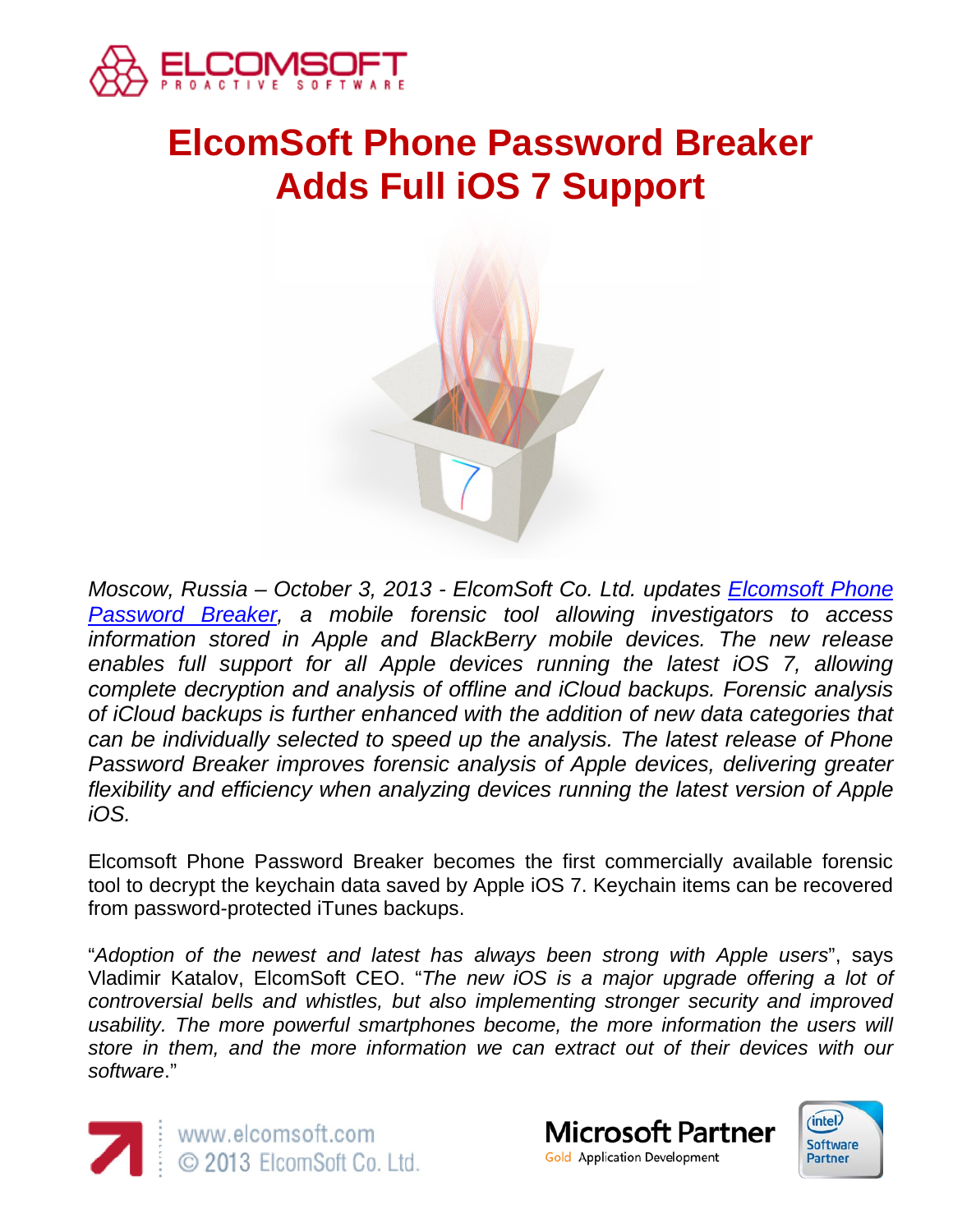

# **ElcomSoft Phone Password Breaker Adds Full iOS 7 Support**



*Moscow, Russia – October 3, 2013 - ElcomSoft Co. Ltd. updates [Elcomsoft Phone](http://www.elcomsoft.com/eppb.html)  [Password Breaker,](http://www.elcomsoft.com/eppb.html) a mobile forensic tool allowing investigators to access information stored in Apple and BlackBerry mobile devices. The new release*  enables full support for all Apple devices running the latest iOS 7, allowing *complete decryption and analysis of offline and iCloud backups. Forensic analysis of iCloud backups is further enhanced with the addition of new data categories that can be individually selected to speed up the analysis. The latest release of Phone Password Breaker improves forensic analysis of Apple devices, delivering greater flexibility and efficiency when analyzing devices running the latest version of Apple iOS.*

Elcomsoft Phone Password Breaker becomes the first commercially available forensic tool to decrypt the keychain data saved by Apple iOS 7. Keychain items can be recovered from password-protected iTunes backups.

"*Adoption of the newest and latest has always been strong with Apple users*", says Vladimir Katalov, ElcomSoft CEO. "*The new iOS is a major upgrade offering a lot of controversial bells and whistles, but also implementing stronger security and improved*  usability. The more powerful smartphones become, the more information the users will *store in them, and the more information we can extract out of their devices with our software*."





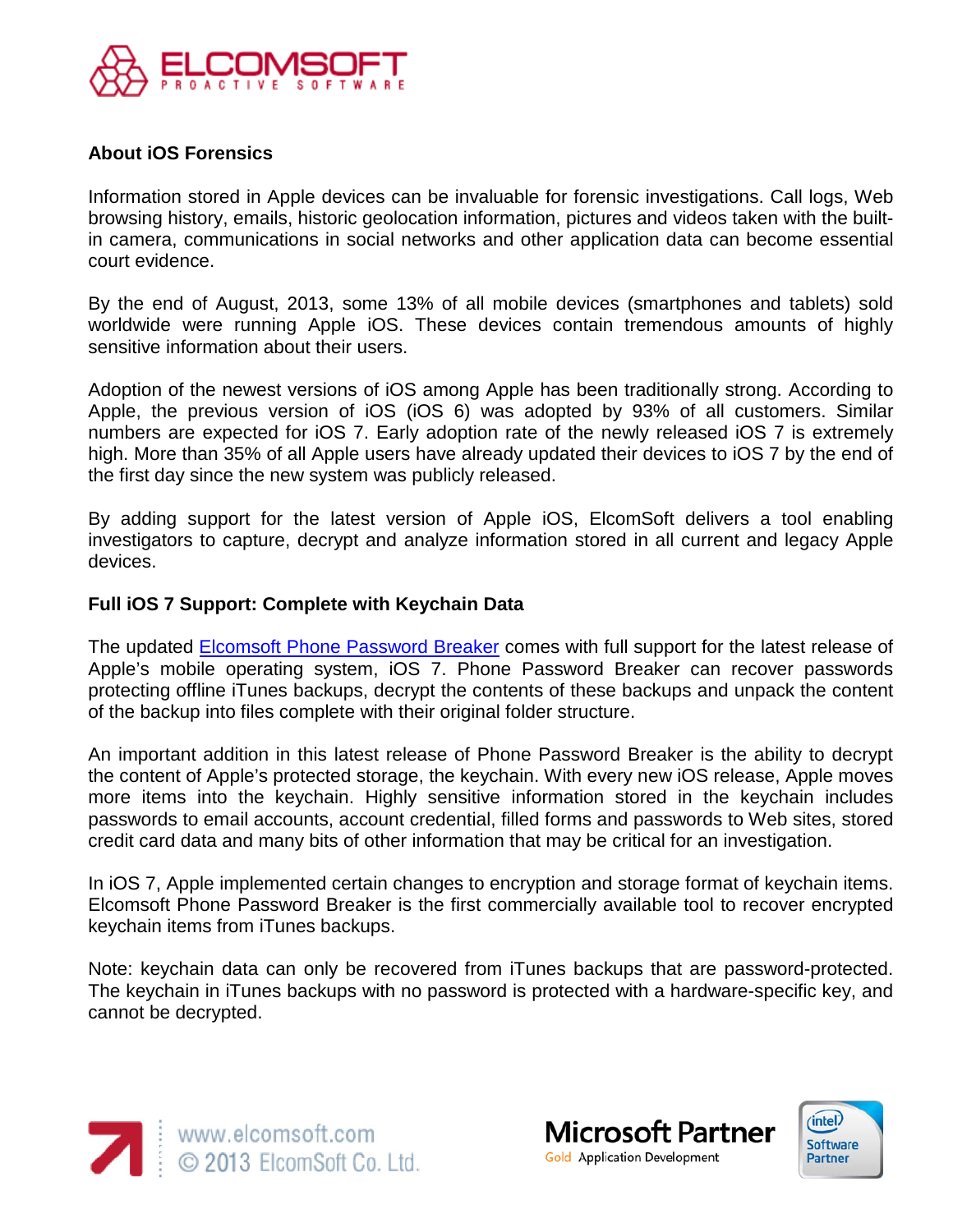

## **About iOS Forensics**

Information stored in Apple devices can be invaluable for forensic investigations. Call logs, Web browsing history, emails, historic geolocation information, pictures and videos taken with the builtin camera, communications in social networks and other application data can become essential court evidence.

By the end of August, 2013, some 13% of all mobile devices (smartphones and tablets) sold worldwide were running Apple iOS. These devices contain tremendous amounts of highly sensitive information about their users.

Adoption of the newest versions of iOS among Apple has been traditionally strong. According to Apple, the previous version of iOS (iOS 6) was adopted by 93% of all customers. Similar numbers are expected for iOS 7. Early adoption rate of the newly released iOS 7 is extremely high. More than 35% of all Apple users have already updated their devices to iOS 7 by the end of the first day since the new system was publicly released.

By adding support for the latest version of Apple iOS, ElcomSoft delivers a tool enabling investigators to capture, decrypt and analyze information stored in all current and legacy Apple devices.

## **Full iOS 7 Support: Complete with Keychain Data**

The updated [Elcomsoft Phone Password Breaker](http://www.elcomsoft.com/eppb.html) comes with full support for the latest release of Apple's mobile operating system, iOS 7. Phone Password Breaker can recover passwords protecting offline iTunes backups, decrypt the contents of these backups and unpack the content of the backup into files complete with their original folder structure.

An important addition in this latest release of Phone Password Breaker is the ability to decrypt the content of Apple's protected storage, the keychain. With every new iOS release, Apple moves more items into the keychain. Highly sensitive information stored in the keychain includes passwords to email accounts, account credential, filled forms and passwords to Web sites, stored credit card data and many bits of other information that may be critical for an investigation.

In iOS 7, Apple implemented certain changes to encryption and storage format of keychain items. Elcomsoft Phone Password Breaker is the first commercially available tool to recover encrypted keychain items from iTunes backups.

Note: keychain data can only be recovered from iTunes backups that are password-protected. The keychain in iTunes backups with no password is protected with a hardware-specific key, and cannot be decrypted.